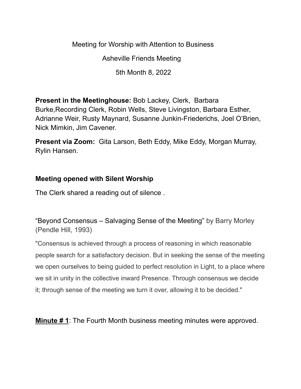Meeting for Worship with Attention to Business

Asheville Friends Meeting

5th Month 8, 2022

**Present in the Meetinghouse:** Bob Lackey, Clerk, Barbara Burke,Recording Clerk, Robin Wells, Steve Livingston, Barbara Esther, Adrianne Weir, Rusty Maynard, Susanne Junkin-Friederichs, Joel O'Brien, Nick Mimkin, Jim Cavener.

**Present via Zoom:** Gita Larson, Beth Eddy, Mike Eddy, Morgan Murray, Rylin Hansen.

## **Meeting opened with Silent Worship**

The Clerk shared a reading out of silence .

"Beyond Consensus – Salvaging Sense of the Meeting" by Barry Morley (Pendle Hill, 1993)

"Consensus is achieved through a process of reasoning in which reasonable people search for a satisfactory decision. But in seeking the sense of the meeting we open ourselves to being guided to perfect resolution in Light, to a place where we sit in unity in the collective inward Presence. Through consensus we decide it; through sense of the meeting we turn it over, allowing it to be decided."

**Minute # 1**: The Fourth Month business meeting minutes were approved.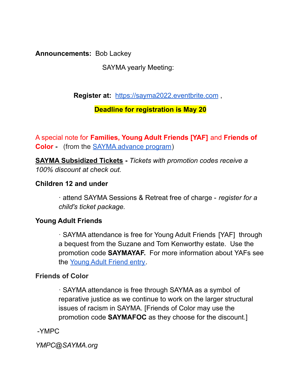**Announcements:** Bob Lackey

SAYMA yearly Meeting:

**Register at:** [https://sayma2022.eventbrite.com](https://sayma2022.eventbrite.com/) ,

## **Deadline for registration is May 20**

A special note for **Families, Young Adult Friends [YAF]** and **Friends of Color -** (from the SAYMA advance program)

**SAYMA Subsidized Tickets -** *Tickets with promotion codes receive a 100% discount at check out.*

## **Children 12 and under**

· attend SAYMA Sessions & Retreat free of charge - *register for a child's ticket package.*

## **Young Adult Friends**

· SAYMA attendance is free for Young Adult Friends [YAF] through a bequest from the Suzane and Tom Kenworthy estate. Use the promotion code **SAYMAYAF.** For more information about YAFs see the Young Adult Friend entry.

## **Friends of Color**

· SAYMA attendance is free through SAYMA as a symbol of reparative justice as we continue to work on the larger structural issues of racism in SAYMA. [Friends of Color may use the promotion code **SAYMAFOC** as they choose for the discount.]

-YMPC

*YMPC@SAYMA.org*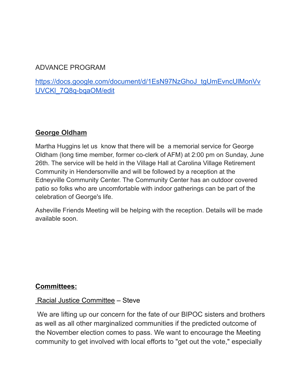## ADVANCE PROGRAM

## [https://docs.google.com/document/d/1EsN97NzGhoJ\\_tgUmEvncUlMonVv](https://docs.google.com/document/d/1EsN97NzGhoJ_tgUmEvncUlMonVvUVCKl_7Q8q-bqaOM/edit) [UVCKl\\_7Q8q-bqaOM/edit](https://docs.google.com/document/d/1EsN97NzGhoJ_tgUmEvncUlMonVvUVCKl_7Q8q-bqaOM/edit)

## **George Oldham**

Martha Huggins let us know that there will be a memorial service for George Oldham (long time member, former co-clerk of AFM) at 2:00 pm on Sunday, June 26th. The service will be held in the Village Hall at Carolina Village Retirement Community in Hendersonville and will be followed by a reception at the Edneyville Community Center. The Community Center has an outdoor covered patio so folks who are uncomfortable with indoor gatherings can be part of the celebration of George's life.

Asheville Friends Meeting will be helping with the reception. Details will be made available soon.

## **Committees:**

#### Racial Justice Committee – Steve

We are lifting up our concern for the fate of our BIPOC sisters and brothers as well as all other marginalized communities if the predicted outcome of the November election comes to pass. We want to encourage the Meeting community to get involved with local efforts to "get out the vote," especially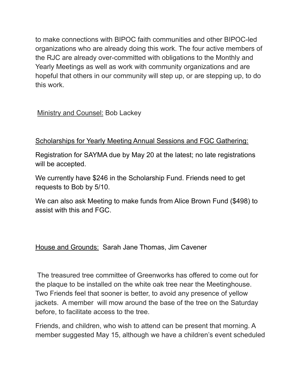to make connections with BIPOC faith communities and other BIPOC-led organizations who are already doing this work. The four active members of the RJC are already over-committed with obligations to the Monthly and Yearly Meetings as well as work with community organizations and are hopeful that others in our community will step up, or are stepping up, to do this work.

Ministry and Counsel: Bob Lackey

# Scholarships for Yearly Meeting Annual Sessions and FGC Gathering:

Registration for SAYMA due by May 20 at the latest; no late registrations will be accepted.

We currently have \$246 in the Scholarship Fund. Friends need to get requests to Bob by 5/10.

We can also ask Meeting to make funds from Alice Brown Fund (\$498) to assist with this and FGC.

House and Grounds: Sarah Jane Thomas, Jim Cavener

The treasured tree committee of Greenworks has offered to come out for the plaque to be installed on the white oak tree near the Meetinghouse. Two Friends feel that sooner is better, to avoid any presence of yellow jackets. A member will mow around the base of the tree on the Saturday before, to facilitate access to the tree.

Friends, and children, who wish to attend can be present that morning. A member suggested May 15, although we have a children's event scheduled